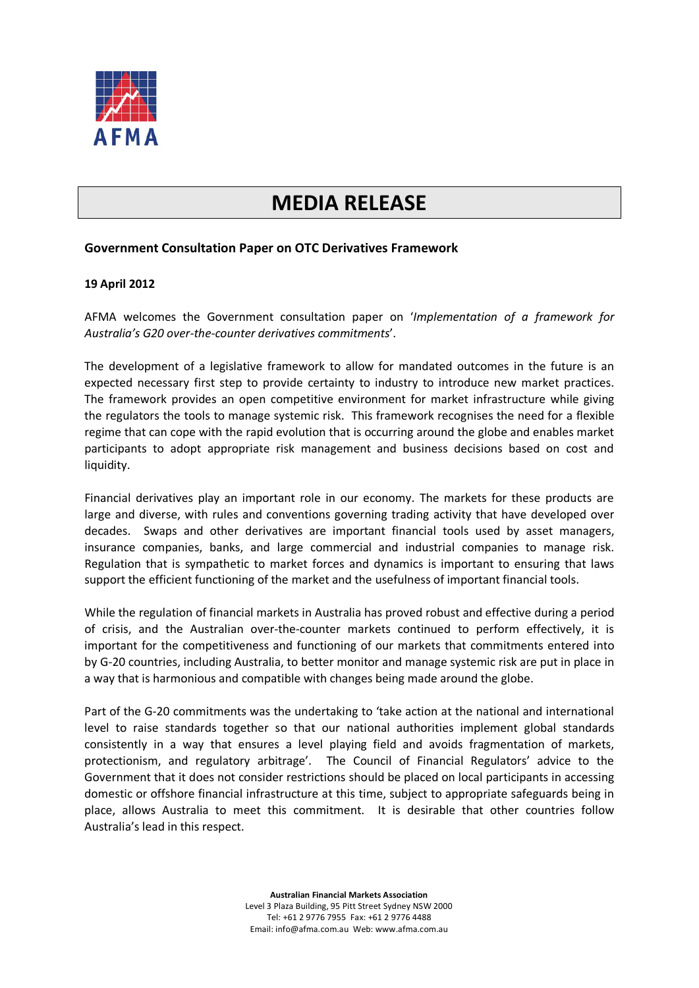

## **MEDIA RELEASE**

## **Government Consultation Paper on OTC Derivatives Framework**

## **19 April 2012**

AFMA welcomes the Government consultation paper on '*Implementation of a framework for Australia's G20 over-the-counter derivatives commitments*'.

The development of a legislative framework to allow for mandated outcomes in the future is an expected necessary first step to provide certainty to industry to introduce new market practices. The framework provides an open competitive environment for market infrastructure while giving the regulators the tools to manage systemic risk. This framework recognises the need for a flexible regime that can cope with the rapid evolution that is occurring around the globe and enables market participants to adopt appropriate risk management and business decisions based on cost and liquidity.

Financial derivatives play an important role in our economy. The markets for these products are large and diverse, with rules and conventions governing trading activity that have developed over decades. Swaps and other derivatives are important financial tools used by asset managers, insurance companies, banks, and large commercial and industrial companies to manage risk. Regulation that is sympathetic to market forces and dynamics is important to ensuring that laws support the efficient functioning of the market and the usefulness of important financial tools.

While the regulation of financial markets in Australia has proved robust and effective during a period of crisis, and the Australian over-the-counter markets continued to perform effectively, it is important for the competitiveness and functioning of our markets that commitments entered into by G-20 countries, including Australia, to better monitor and manage systemic risk are put in place in a way that is harmonious and compatible with changes being made around the globe.

Part of the G-20 commitments was the undertaking to 'take action at the national and international level to raise standards together so that our national authorities implement global standards consistently in a way that ensures a level playing field and avoids fragmentation of markets, protectionism, and regulatory arbitrage'. The Council of Financial Regulators' advice to the Government that it does not consider restrictions should be placed on local participants in accessing domestic or offshore financial infrastructure at this time, subject to appropriate safeguards being in place, allows Australia to meet this commitment. It is desirable that other countries follow Australia's lead in this respect.